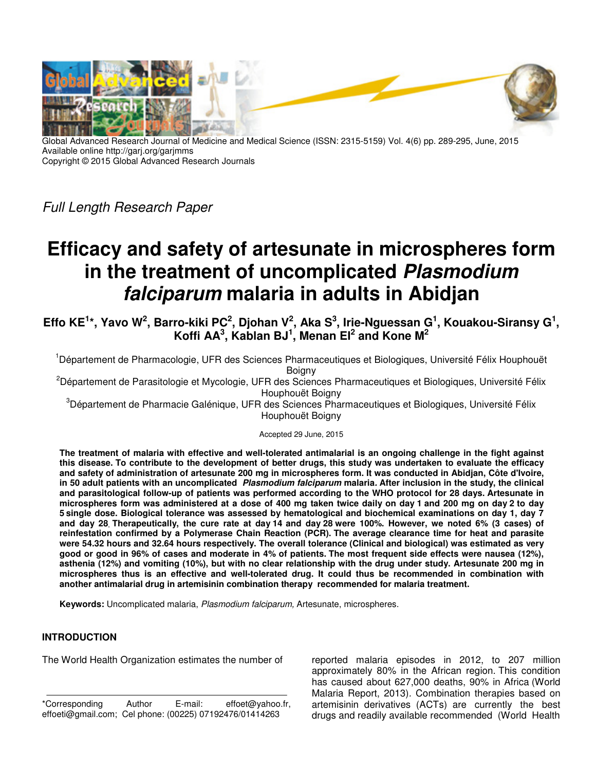

Global Advanced Research Journal of Medicine and Medical Science (ISSN: 2315-5159) Vol. 4(6) pp. 289-295, June, 2015 Available online http://garj.org/garjmms Copyright © 2015 Global Advanced Research Journals

Full Length Research Paper

# **Efficacy and safety of artesunate in microspheres form in the treatment of uncomplicated Plasmodium falciparum malaria in adults in Abidjan**

**Effo KE<sup>1</sup> \*, Yavo W<sup>2</sup> , Barro-kiki PC<sup>2</sup> , Djohan V<sup>2</sup> , Aka S<sup>3</sup> , Irie-Nguessan G<sup>1</sup> , Kouakou-Siransy G<sup>1</sup> , Koffi AA<sup>3</sup> , Kablan BJ<sup>1</sup> , Menan EI<sup>2</sup> and Kone M<sup>2</sup>**

<sup>1</sup>Département de Pharmacologie, UFR des Sciences Pharmaceutiques et Biologiques, Université Félix Houphouët Boigny

<sup>2</sup>Département de Parasitologie et Mycologie, UFR des Sciences Pharmaceutiques et Biologiques, Université Félix Houphouët Boigny

<sup>3</sup>Département de Pharmacie Galénique, UFR des Sciences Pharmaceutiques et Biologiques, Université Félix Houphouët Boigny

Accepted 29 June, 2015

**The treatment of malaria with effective and well-tolerated antimalarial is an ongoing challenge in the fight against this disease. To contribute to the development of better drugs, this study was undertaken to evaluate the efficacy and safety of administration of artesunate 200 mg in microspheres form. It was conducted in Abidjan, Côte d'Ivoire, in 50 adult patients with an uncomplicated Plasmodium falciparum malaria. After inclusion in the study, the clinical and parasitological follow-up of patients was performed according to the WHO protocol for 28 days. Artesunate in microspheres form was administered at a dose of 400 mg taken twice daily on day 1 and 200 mg on day 2 to day 5 single dose. Biological tolerance was assessed by hematological and biochemical examinations on day 1, day 7 and day 28. Therapeutically, the cure rate at day 14 and day 28 were 100%. However, we noted 6% (3 cases) of reinfestation confirmed by a Polymerase Chain Reaction (PCR). The average clearance time for heat and parasite were 54.32 hours and 32.64 hours respectively. The overall tolerance (Clinical and biological) was estimated as very good or good in 96% of cases and moderate in 4% of patients. The most frequent side effects were nausea (12%), asthenia (12%) and vomiting (10%), but with no clear relationship with the drug under study. Artesunate 200 mg in microspheres thus is an effective and well-tolerated drug. It could thus be recommended in combination with another antimalarial drug in artemisinin combination therapy recommended for malaria treatment.** 

**Keywords:** Uncomplicated malaria, Plasmodium falciparum, Artesunate, microspheres.

## **INTRODUCTION**

The World Health Organization estimates the number of

\*Corresponding Author E-mail: effoet@yahoo.fr, effoeti@gmail.com; Cel phone: (00225) 07192476/01414263

reported malaria episodes in 2012, to 207 million approximately 80% in the African region. This condition has caused about 627,000 deaths, 90% in Africa (World Malaria Report, 2013). Combination therapies based on artemisinin derivatives (ACTs) are currently the best drugs and readily available recommended (World Health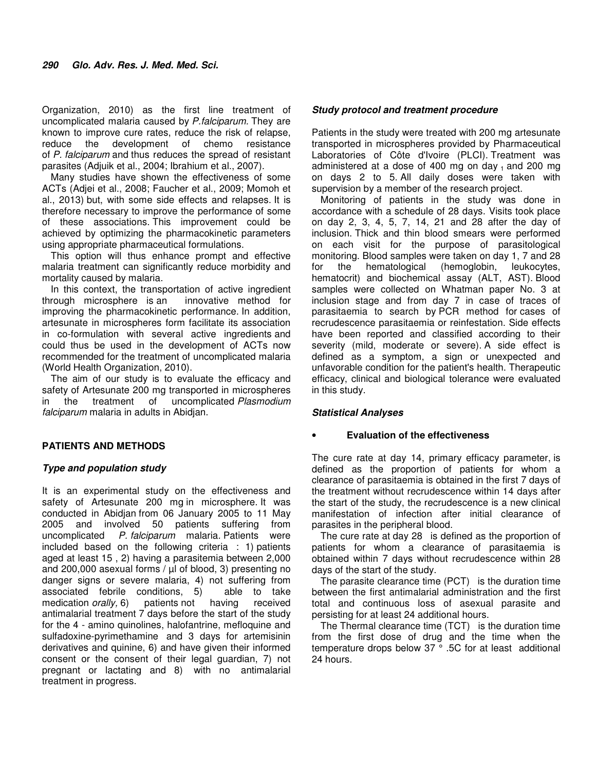Organization, 2010) as the first line treatment of uncomplicated malaria caused by P.falciparum. They are known to improve cure rates, reduce the risk of relapse, reduce the development of chemo resistance of P. falciparum and thus reduces the spread of resistant parasites (Adjuik et al., 2004; Ibrahium et al., 2007).

Many studies have shown the effectiveness of some ACTs (Adjei et al., 2008; Faucher et al., 2009; Momoh et al., 2013) but, with some side effects and relapses. It is therefore necessary to improve the performance of some of these associations. This improvement could be achieved by optimizing the pharmacokinetic parameters using appropriate pharmaceutical formulations.

This option will thus enhance prompt and effective malaria treatment can significantly reduce morbidity and mortality caused by malaria.

In this context, the transportation of active ingredient through microsphere is an innovative method for improving the pharmacokinetic performance. In addition, artesunate in microspheres form facilitate its association in co-formulation with several active ingredients and could thus be used in the development of ACTs now recommended for the treatment of uncomplicated malaria (World Health Organization, 2010).

The aim of our study is to evaluate the efficacy and safety of Artesunate 200 mg transported in microspheres in the treatment of uncomplicated Plasmodium falciparum malaria in adults in Abidjan.

## **PATIENTS AND METHODS**

## **Type and population study**

It is an experimental study on the effectiveness and safety of Artesunate 200 mg in microsphere. It was conducted in Abidjan from 06 January 2005 to 11 May 2005 and involved 50 patients suffering from uncomplicated P. falciparum malaria. Patients were included based on the following criteria : 1) patients aged at least 15 , 2) having a parasitemia between 2,000 and 200,000 asexual forms / µl of blood, 3) presenting no danger signs or severe malaria, 4) not suffering from associated febrile conditions, 5) able to take medication *orally*, 6) patients not having received antimalarial treatment 7 days before the start of the study for the 4 - amino quinolines, halofantrine, mefloquine and sulfadoxine-pyrimethamine and 3 days for artemisinin derivatives and quinine, 6) and have given their informed consent or the consent of their legal guardian, 7) not pregnant or lactating and 8) with no antimalarial treatment in progress.

## **Study protocol and treatment procedure**

Patients in the study were treated with 200 mg artesunate transported in microspheres provided by Pharmaceutical Laboratories of Côte d'Ivoire (PLCI). Treatment was administered at a dose of 400 mg on day  $_1$  and 200 mg on days 2 to 5. All daily doses were taken with supervision by a member of the research project.

Monitoring of patients in the study was done in accordance with a schedule of 28 days. Visits took place on day 2, 3, 4, 5, 7, 14, 21 and 28 after the day of inclusion. Thick and thin blood smears were performed on each visit for the purpose of parasitological monitoring. Blood samples were taken on day 1, 7 and 28 for the hematological (hemoglobin, leukocytes, hematocrit) and biochemical assay (ALT, AST). Blood samples were collected on Whatman paper No. 3 at inclusion stage and from day 7 in case of traces of parasitaemia to search by PCR method for cases of recrudescence parasitaemia or reinfestation. Side effects have been reported and classified according to their severity (mild, moderate or severe). A side effect is defined as a symptom, a sign or unexpected and unfavorable condition for the patient's health. Therapeutic efficacy, clinical and biological tolerance were evaluated in this study.

## **Statistical Analyses**

## • **Evaluation of the effectiveness**

The cure rate at day 14, primary efficacy parameter, is defined as the proportion of patients for whom a clearance of parasitaemia is obtained in the first 7 days of the treatment without recrudescence within 14 days after the start of the study, the recrudescence is a new clinical manifestation of infection after initial clearance of parasites in the peripheral blood.

The cure rate at day 28 is defined as the proportion of patients for whom a clearance of parasitaemia is obtained within 7 days without recrudescence within 28 days of the start of the study.

The parasite clearance time (PCT) is the duration time between the first antimalarial administration and the first total and continuous loss of asexual parasite and persisting for at least 24 additional hours.

The Thermal clearance time (TCT) is the duration time from the first dose of drug and the time when the temperature drops below 37 ° .5C for at least additional 24 hours.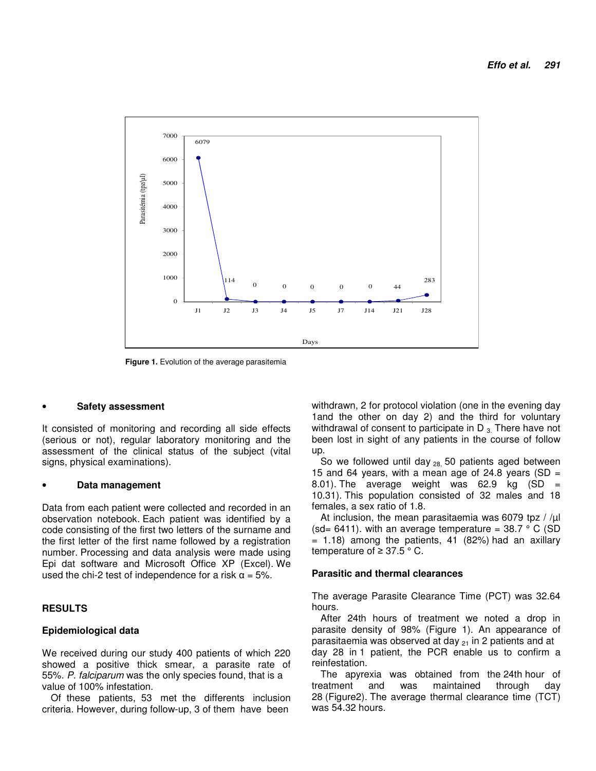

**Figure 1.** Evolution of the average parasitemia

#### • **Safety assessment**

It consisted of monitoring and recording all side effects (serious or not), regular laboratory monitoring and the assessment of the clinical status of the subject (vital signs, physical examinations).

#### • **Data management**

Data from each patient were collected and recorded in an observation notebook. Each patient was identified by a code consisting of the first two letters of the surname and the first letter of the first name followed by a registration number. Processing and data analysis were made using Epi dat software and Microsoft Office XP (Excel). We used the chi-2 test of independence for a risk  $\alpha = 5\%$ .

#### **RESULTS**

#### **Epidemiological data**

We received during our study 400 patients of which 220 showed a positive thick smear, a parasite rate of 55%. P. falciparum was the only species found, that is a value of 100% infestation.

Of these patients, 53 met the differents inclusion criteria. However, during follow-up, 3 of them have been

withdrawn, 2 for protocol violation (one in the evening day 1and the other on day 2) and the third for voluntary withdrawal of consent to participate in  $D_{3}$ . There have not been lost in sight of any patients in the course of follow up.

So we followed until day  $_{28}$  50 patients aged between 15 and 64 years, with a mean age of 24.8 years (SD  $=$ 8.01). The average weight was  $62.9$  kg (SD = 10.31). This population consisted of 32 males and 18 females, a sex ratio of 1.8.

At inclusion, the mean parasitaemia was 6079 tpz / / $\mu$ l (sd= 6411). with an average temperature =  $38.7 \degree$  C (SD  $= 1.18$ ) among the patients, 41 (82%) had an axillary temperature of  $≥ 37.5 ° C$ .

## **Parasitic and thermal clearances**

The average Parasite Clearance Time (PCT) was 32.64 hours.

After 24th hours of treatment we noted a drop in parasite density of 98% (Figure 1). An appearance of parasitaemia was observed at day  $_{21}$  in 2 patients and at day 28 in 1 patient, the PCR enable us to confirm a reinfestation.

The apyrexia was obtained from the 24th hour of treatment and was maintained through day 28 (Figure2). The average thermal clearance time (TCT) was 54.32 hours.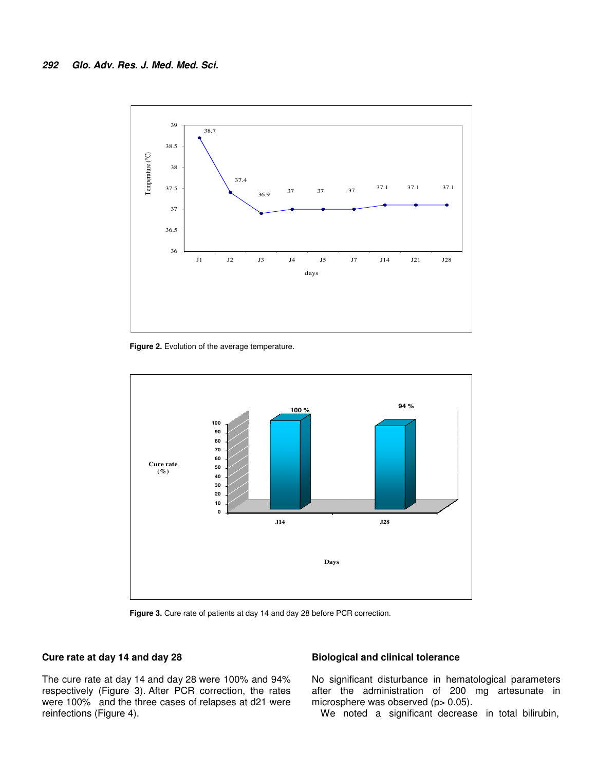

Figure 2. Evolution of the average temperature.



**Figure 3.** Cure rate of patients at day 14 and day 28 before PCR correction.

## **Cure rate at day 14 and day 28**

The cure rate at day 14 and day 28 were 100% and 94% respectively (Figure 3). After PCR correction, the rates were 100% and the three cases of relapses at d21 were reinfections (Figure 4).

## **Biological and clinical tolerance**

No significant disturbance in hematological parameters after the administration of 200 mg artesunate in microsphere was observed (p> 0.05).

We noted a significant decrease in total bilirubin,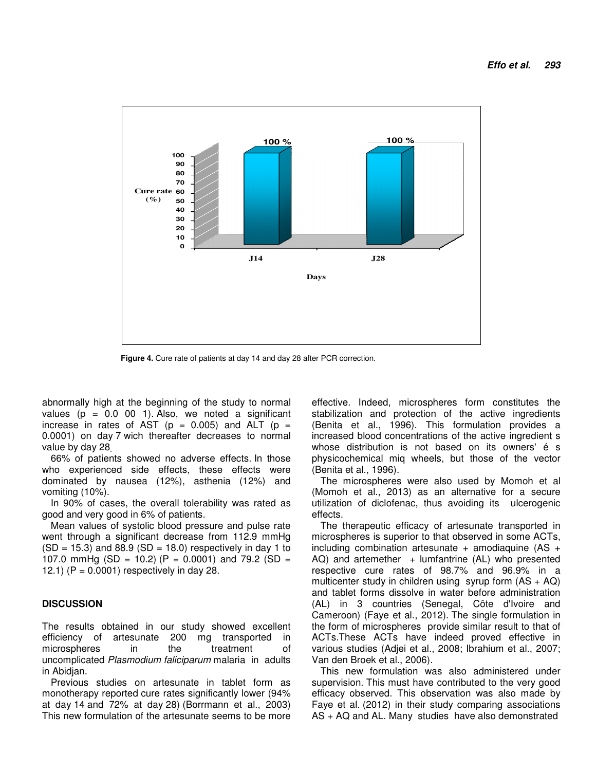

**Figure 4.** Cure rate of patients at day 14 and day 28 after PCR correction.

abnormally high at the beginning of the study to normal values ( $p = 0.0$  00 1). Also, we noted a significant increase in rates of AST ( $p = 0.005$ ) and ALT ( $p =$ 0.0001) on day 7 wich thereafter decreases to normal value by day 28.

66% of patients showed no adverse effects. In those who experienced side effects, these effects were dominated by nausea (12%), asthenia (12%) and vomiting (10%).

In 90% of cases, the overall tolerability was rated as good and very good in 6% of patients.

Mean values of systolic blood pressure and pulse rate went through a significant decrease from 112.9 mmHg  $(SD = 15.3)$  and 88.9  $(SD = 18.0)$  respectively in day 1 to 107.0 mmHg (SD = 10.2) (P = 0.0001) and 79.2 (SD = 12.1) ( $P = 0.0001$ ) respectively in day 28.

## **DISCUSSION**

The results obtained in our study showed excellent efficiency of artesunate 200 mg transported in microspheres in the treatment of uncomplicated Plasmodium faliciparum malaria in adults in Abidjan.

Previous studies on artesunate in tablet form as monotherapy reported cure rates significantly lower (94% at day 14 and 72% at day 28) (Borrmann et al., 2003) This new formulation of the artesunate seems to be more effective. Indeed, microspheres form constitutes the stabilization and protection of the active ingredients (Benita et al., 1996). This formulation provides a increased blood concentrations of the active ingredient s whose distribution is not based on its owners' é s physicochemical miq wheels, but those of the vector (Benita et al., 1996).

The microspheres were also used by Momoh et al (Momoh et al., 2013) as an alternative for a secure utilization of diclofenac, thus avoiding its ulcerogenic effects.

The therapeutic efficacy of artesunate transported in microspheres is superior to that observed in some ACTs, including combination artesunate  $+$  amodiaquine (AS  $+$  $AQ)$  and artemether  $+$  lumfantrine  $(AL)$  who presented respective cure rates of 98.7% and 96.9% in a multicenter study in children using syrup form  $(AS + AQ)$ and tablet forms dissolve in water before administration (AL) in 3 countries (Senegal, Côte d'Ivoire and Cameroon) (Faye et al., 2012). The single formulation in the form of microspheres provide similar result to that of ACTs.These ACTs have indeed proved effective in various studies (Adjei et al., 2008; Ibrahium et al., 2007; Van den Broek et al., 2006).

This new formulation was also administered under supervision. This must have contributed to the very good efficacy observed. This observation was also made by Faye et al. (2012) in their study comparing associations AS + AQ and AL. Many studies have also demonstrated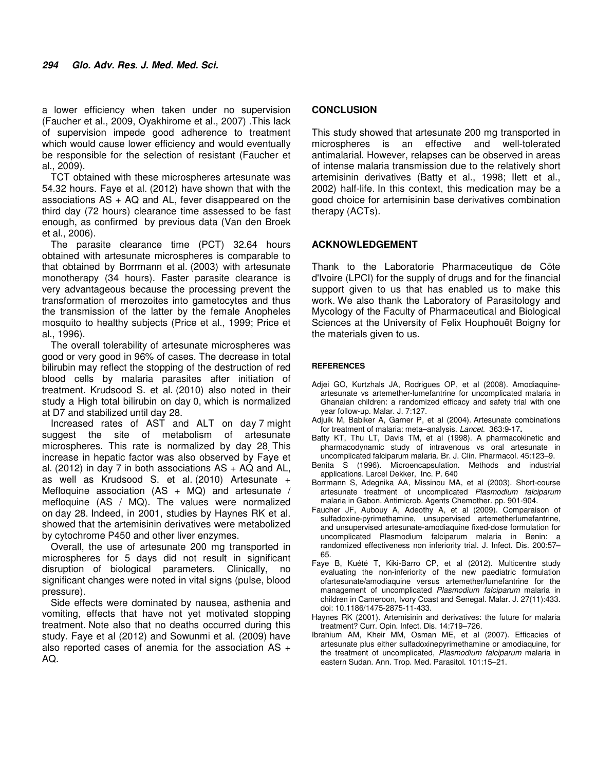a lower efficiency when taken under no supervision (Faucher et al., 2009, Oyakhirome et al., 2007) .This lack of supervision impede good adherence to treatment which would cause lower efficiency and would eventually be responsible for the selection of resistant (Faucher et al., 2009).

TCT obtained with these microspheres artesunate was 54.32 hours. Faye et al. (2012) have shown that with the associations  $AS + AQ$  and  $AL$ , fever disappeared on the third day (72 hours) clearance time assessed to be fast enough, as confirmed by previous data (Van den Broek et al., 2006).

The parasite clearance time (PCT) 32.64 hours obtained with artesunate microspheres is comparable to that obtained by Borrmann et al. (2003) with artesunate monotherapy (34 hours). Faster parasite clearance is very advantageous because the processing prevent the transformation of merozoites into gametocytes and thus the transmission of the latter by the female Anopheles mosquito to healthy subjects (Price et al., 1999; Price et al., 1996).

The overall tolerability of artesunate microspheres was good or very good in 96% of cases. The decrease in total bilirubin may reflect the stopping of the destruction of red blood cells by malaria parasites after initiation of treatment. Krudsood S. et al. (2010) also noted in their study a High total bilirubin on day 0, which is normalized at D7 and stabilized until day 28.

Increased rates of AST and ALT on day 7 might suggest the site of metabolism of artesunate microspheres. This rate is normalized by day 28. This increase in hepatic factor was also observed by Faye et al. (2012) in day 7 in both associations  $AS + AQ$  and  $AL$ , as well as Krudsood S. et al. (2010) Artesunate + Mefloquine association  $(AS + MQ)$  and artesunate / mefloquine (AS / MQ). The values were normalized on day 28. Indeed, in 2001, studies by Haynes RK et al. showed that the artemisinin derivatives were metabolized by cytochrome P450 and other liver enzymes.

Overall, the use of artesunate 200 mg transported in microspheres for 5 days did not result in significant disruption of biological parameters. Clinically, no significant changes were noted in vital signs (pulse, blood pressure).

Side effects were dominated by nausea, asthenia and vomiting, effects that have not yet motivated stopping treatment. Note also that no deaths occurred during this study. Faye et al (2012) and Sowunmi et al. (2009) have also reported cases of anemia for the association AS + AQ.

## **CONCLUSION**

This study showed that artesunate 200 mg transported in microspheres is an effective and well-tolerated antimalarial. However, relapses can be observed in areas of intense malaria transmission due to the relatively short artemisinin derivatives (Batty et al., 1998; Ilett et al., 2002) half-life. In this context, this medication may be a good choice for artemisinin base derivatives combination therapy (ACTs).

## **ACKNOWLEDGEMENT**

Thank to the Laboratorie Pharmaceutique de Côte d'Ivoire (LPCI) for the supply of drugs and for the financial support given to us that has enabled us to make this work. We also thank the Laboratory of Parasitology and Mycology of the Faculty of Pharmaceutical and Biological Sciences at the University of Felix Houphouët Boigny for the materials given to us.

#### **REFERENCES**

- Adjei GO, Kurtzhals JA, Rodrigues OP, et al (2008). Amodiaquineartesunate vs artemether-lumefantrine for uncomplicated malaria in Ghanaian children: a randomized efficacy and safety trial with one year follow-up. Malar. J. 7:127.
- Adjuik M, Babiker A, Garner P, et al (2004). Artesunate combinations for treatment of malaria: meta–analysis. Lancet. 363:9-17**.**
- Batty KT, Thu LT, Davis TM, et al (1998). A pharmacokinetic and pharmacodynamic study of intravenous vs oral artesunate in uncomplicated falciparum malaria. Br. J. Clin. Pharmacol. 45:123–9.
- Benita S (1996). Microencapsulation. Methods and industrial applications. Larcel Dekker, Inc. P. 640
- Borrmann S, Adegnika AA, Missinou MA, et al (2003). Short-course artesunate treatment of uncomplicated Plasmodium falciparum malaria in Gabon. Antimicrob. Agents Chemother. pp. 901-904.
- Faucher JF, Aubouy A, Adeothy A, et al (2009). Comparaison of sulfadoxine-pyrimethamine, unsupervised artemetherlumefantrine, and unsupervised artesunate-amodiaquine fixed-dose formulation for uncomplicated Plasmodium falciparum malaria in Benin: a randomized effectiveness non inferiority trial. J. Infect. Dis. 200:57– 65.
- Faye B, Kuété T, Kiki-Barro CP, et al (2012). Multicentre study evaluating the non-inferiority of the new paediatric formulation ofartesunate/amodiaquine versus artemether/lumefantrine for the management of uncomplicated Plasmodium falciparum malaria in children in Cameroon, Ivory Coast and Senegal. Malar. J. 27(11):433. doi: 10.1186/1475-2875-11-433.
- Haynes RK (2001). Artemisinin and derivatives: the future for malaria treatment? Curr. Opin. Infect. Dis. 14:719–726.
- Ibrahium AM, Kheir MM, Osman ME, et al (2007). Efficacies of artesunate plus either sulfadoxinepyrimethamine or amodiaquine, for the treatment of uncomplicated, Plasmodium falciparum malaria in eastern Sudan. Ann. Trop. Med. Parasitol. 101:15–21.